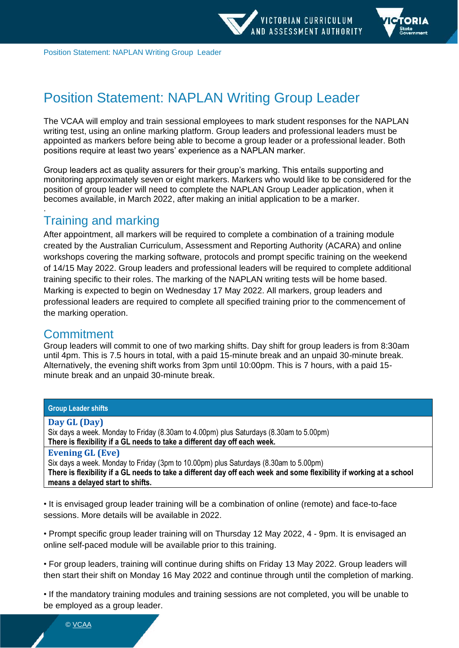

Position Statement: NAPLAN Writing Group Leader

# Position Statement: NAPLAN Writing Group Leader

The VCAA will employ and train sessional employees to mark student responses for the NAPLAN writing test, using an online marking platform. Group leaders and professional leaders must be appointed as markers before being able to become a group leader or a professional leader. Both positions require at least two years' experience as a NAPLAN marker.

Group leaders act as quality assurers for their group's marking. This entails supporting and monitoring approximately seven or eight markers. Markers who would like to be considered for the position of group leader will need to complete the NAPLAN Group Leader application, when it becomes available, in March 2022, after making an initial application to be a marker.

# Training and marking

After appointment, all markers will be required to complete a combination of a training module created by the Australian Curriculum, Assessment and Reporting Authority (ACARA) and online workshops covering the marking software, protocols and prompt specific training on the weekend of 14/15 May 2022. Group leaders and professional leaders will be required to complete additional training specific to their roles. The marking of the NAPLAN writing tests will be home based. Marking is expected to begin on Wednesday 17 May 2022. All markers, group leaders and professional leaders are required to complete all specified training prior to the commencement of the marking operation.

#### **Commitment**

.

Group leaders will commit to one of two marking shifts. Day shift for group leaders is from 8:30am until 4pm. This is 7.5 hours in total, with a paid 15-minute break and an unpaid 30-minute break. Alternatively, the evening shift works from 3pm until 10:00pm. This is 7 hours, with a paid 15 minute break and an unpaid 30-minute break.

#### **Group Leader shifts**

#### **Day GL (Day)**

Six days a week. Monday to Friday (8.30am to 4.00pm) plus Saturdays (8.30am to 5.00pm) **There is flexibility if a GL needs to take a different day off each week.** 

#### **Evening GL (Eve)**

Six days a week. Monday to Friday (3pm to 10.00pm) plus Saturdays (8.30am to 5.00pm) **There is flexibility if a GL needs to take a different day off each week and some flexibility if working at a school means a delayed start to shifts.** 

• It is envisaged group leader training will be a combination of online (remote) and face-to-face sessions. More details will be available in 2022.

• Prompt specific group leader training will on Thursday 12 May 2022, 4 - 9pm. It is envisaged an online self-paced module will be available prior to this training.

• For group leaders, training will continue during shifts on Friday 13 May 2022. Group leaders will then start their shift on Monday 16 May 2022 and continue through until the completion of marking.

• If the mandatory training modules and training sessions are not completed, you will be unable to be employed as a group leader.

© [VCAA](https://www.vcaa.vic.edu.au/Footer/Pages/Copyright.aspx)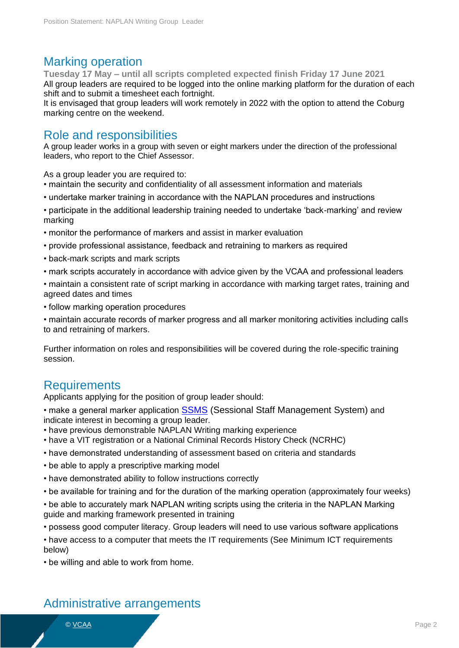#### Marking operation

**Tuesday 17 May – until all scripts completed expected finish Friday 17 June 2021** All group leaders are required to be logged into the online marking platform for the duration of each shift and to submit a timesheet each fortnight.

It is envisaged that group leaders will work remotely in 2022 with the option to attend the Coburg marking centre on the weekend.

#### Role and responsibilities

A group leader works in a group with seven or eight markers under the direction of the professional leaders, who report to the Chief Assessor.

As a group leader you are required to:

- maintain the security and confidentiality of all assessment information and materials
- undertake marker training in accordance with the NAPLAN procedures and instructions
- participate in the additional leadership training needed to undertake 'back-marking' and review marking
- monitor the performance of markers and assist in marker evaluation
- provide professional assistance, feedback and retraining to markers as required
- back-mark scripts and mark scripts
- mark scripts accurately in accordance with advice given by the VCAA and professional leaders
- maintain a consistent rate of script marking in accordance with marking target rates, training and agreed dates and times
- follow marking operation procedures

• maintain accurate records of marker progress and all marker monitoring activities including calls to and retraining of markers.

Further information on roles and responsibilities will be covered during the role-specific training session.

#### Requirements

Applicants applying for the position of group leader should:

- make a general marker application **[SSMS](https://www.ssms.vic.edu.au/)** (Sessional Staff Management System) and indicate interest in becoming a group leader.
- have previous demonstrable NAPLAN Writing marking experience
- have a VIT registration or a National Criminal Records History Check (NCRHC)
- have demonstrated understanding of assessment based on criteria and standards
- be able to apply a prescriptive marking model
- have demonstrated ability to follow instructions correctly
- be available for training and for the duration of the marking operation (approximately four weeks)
- be able to accurately mark NAPLAN writing scripts using the criteria in the NAPLAN Marking guide and marking framework presented in training
- possess good computer literacy. Group leaders will need to use various software applications
- have access to a computer that meets the IT requirements (See Minimum ICT requirements below)
- be willing and able to work from home.

#### Administrative arrangements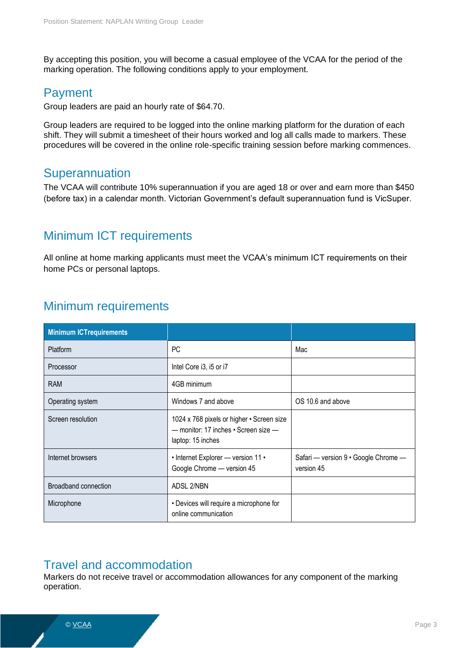By accepting this position, you will become a casual employee of the VCAA for the period of the marking operation. The following conditions apply to your employment.

#### Payment

Group leaders are paid an hourly rate of \$64.70.

Group leaders are required to be logged into the online marking platform for the duration of each shift. They will submit a timesheet of their hours worked and log all calls made to markers. These procedures will be covered in the online role-specific training session before marking commences.

#### **Superannuation**

The VCAA will contribute 10% superannuation if you are aged 18 or over and earn more than \$450 (before tax) in a calendar month. Victorian Government's default superannuation fund is VicSuper.

# Minimum ICT requirements

All online at home marking applicants must meet the VCAA's minimum ICT requirements on their home PCs or personal laptops.

# Minimum requirements

| <b>Minimum ICTrequirements</b> |                                                                                                        |                                                    |
|--------------------------------|--------------------------------------------------------------------------------------------------------|----------------------------------------------------|
| Platform                       | PC                                                                                                     | Mac                                                |
| Processor                      | Intel Core i3, i5 or i7                                                                                |                                                    |
| <b>RAM</b>                     | 4GB minimum                                                                                            |                                                    |
| Operating system               | Windows 7 and above                                                                                    | OS 10.6 and above                                  |
| Screen resolution              | 1024 x 768 pixels or higher • Screen size<br>- monitor: 17 inches • Screen size -<br>laptop: 15 inches |                                                    |
| Internet browsers              | • Internet Explorer - version 11 •<br>Google Chrome - version 45                                       | Safari — version 9 · Google Chrome —<br>version 45 |
| Broadband connection           | ADSL 2/NBN                                                                                             |                                                    |
| Microphone                     | • Devices will require a microphone for<br>online communication                                        |                                                    |

### Travel and accommodation

Markers do not receive travel or accommodation allowances for any component of the marking operation.

© <u>VCAA</u> Page 3